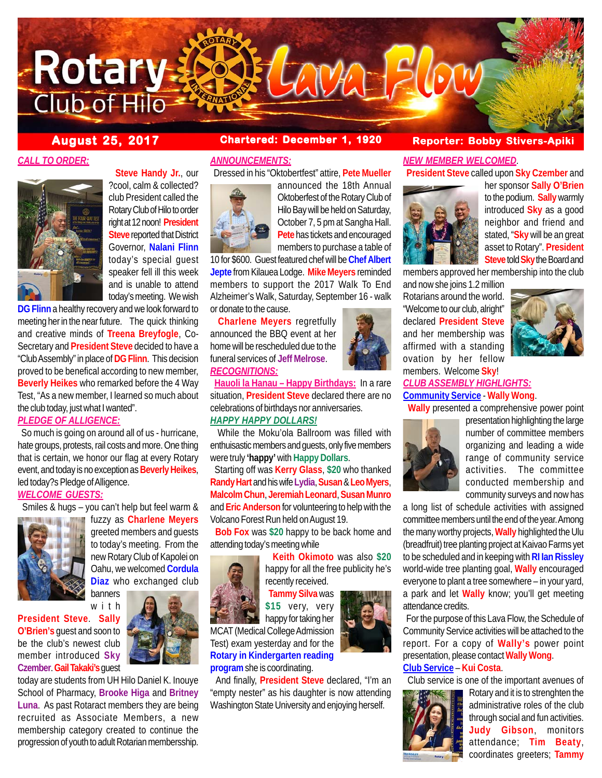

# *CALL TO ORDER:*



 **Steve Handy Jr.**, our ?cool, calm & collected? club President called the Rotary Club of Hilo to order right at 12 noon! **President Steve** reported that District Governor, **Nalani Flinn** today's special guest speaker fell ill this week and is unable to attend today's meeting. We wish

**DG Flinn** a healthy recovery and we look forward to meeting her in the near future. The quick thinking and creative minds of **Treena Breyfogle**, Co-Secretary and **President Steve** decided to have a "Club Assembly" in place of **DG Flinn**. This decision proved to be benefical according to new member, **Beverly Heikes** who remarked before the 4 Way Test, "As a new member, I learned so much about the club today, just what I wanted".

# *PLEDGE OF ALLIGENCE:*

 So much is going on around all of us - hurricane, hate groups, protests, rail costs and more. One thing that is certain, we honor our flag at every Rotary event, and today is no exception as **Beverly Heikes**, led today?s Pledge of Alligence.

### *WELCOME GUESTS:*



 Smiles & hugs – you can't help but feel warm & fuzzy as **Charlene Meyers** greeted members and guests to today's meeting. From the new Rotary Club of Kapolei on Oahu, we welcomed **Cordula Diaz** who exchanged club banners

with

**President Steve**. **Sally O'Brien's** guest and soon to be the club's newest club member introduced **Sky Czember**. **Gail Takaki's** guest

today are students from UH Hilo Daniel K. Inouye School of Pharmacy, **Brooke Higa** and **Britney Luna**. As past Rotaract members they are being recruited as Associate Members, a new membership category created to continue the progression of youth to adult Rotarian membersship.

### *ANNOUNCEMENTS:*

Dressed in his "Oktobertfest" attire, **Pete Mueller**



announced the 18th Annual Oktoberfest of the Rotary Club of Hilo Bay will be held on Saturday, October 7, 5 pm at Sangha Hall. **Pete** has tickets and encouraged members to purchase a table of

10 for \$600. Guest featured chef will be **Chef Albert Jepte** from Kilauea Lodge. **Mike Meyers** reminded members to support the 2017 Walk To End Alzheimer's Walk, Saturday, September 16 - walk or donate to the cause.

 **Charlene Meyers** regretfully announced the BBQ event at her home will be rescheduled due to the funeral services of **Jeff Melrose**. *RECOGNITIONS:*



 **Hauoli la Hanau – Happy Birthdays:** In a rare situation, **President Steve** declared there are no celebrations of birthdays nor anniversaries.

# *HAPPY HAPPY DOLLARS!*

 While the Moku'ola Ballroom was filled with enthuisastic members and guests, only five members were truly **'happy'** with **Happy Dollars**.

 Starting off was **Kerry Glass**, **\$20** who thanked **Randy Hart** and his wife **Lydia**, **Susan** & **Leo Myers**, **Malcolm Chun**, **Jeremiah Leonard**, **Susan Munro** and **Eric Anderson** for volunteering to help with the Volcano Forest Run held on August 19.

 **Bob Fox** was **\$20** happy to be back home and attending today's meeting while

# **Keith Okimoto** was also **\$20**

happy for all the free publicity he's recently received.

 **Tammy Silva** was **\$15** very, very happy for taking her

MCAT (Medical College Admission Test) exam yesterday and for the **Rotary in Kindergarten reading program** she is coordinating.

 And finally, **President Steve** declared, "I'm an "empty nester" as his daughter is now attending Washington State University and enjoying herself.

# **August 25, 2017 Chartered: December 1, 1920 Reporter: Bobby Stivers-Apiki**

# *NEW MEMBER WELCOMED*.

**President Steve** called upon **Sky Czember** and



her sponsor **Sally O'Brien** to the podium. **Sally** warmly introduced **Sky** as a good neighbor and friend and stated, "**Sky** will be an great asset to Rotary". **President Steve** told **Sky** the Board and

members approved her membership into the club

and now she joins 1.2 million Rotarians around the world. "Welcome to our club, alright" declared **President Steve** and her membership was affirmed with a standing ovation by her fellow members. Welcome **Sky**!



# *CLUB ASSEMBLY HIGHLIGHTS:* **Community Service** - **Wally Wong**.

 **Wally** presented a comprehensive power point



presentation highlighting the large number of committee members organizing and leading a wide range of community service activities. The committee conducted membership and community surveys and now has

a long list of schedule activities with assigned committee members until the end of the year. Among the many worthy projects, **Wally** highlighted the Ulu (breadfruit) tree planting project at Kaivao Farms yet to be scheduled and in keeping with **RI Ian Rissley** world-wide tree planting goal, **Wally** encouraged everyone to plant a tree somewhere – in your yard, a park and let **Wally** know; you'll get meeting attendance credits.

 For the purpose of this Lava Flow, the Schedule of Community Service activities will be attached to the report. For a copy of **Wally's** power point presentation, please contact **Wally Wong**.

# **Club Service** – **Kui Costa**.

Club service is one of the important avenues of



Rotary and it is to strenghten the administrative roles of the club through social and fun activities. **Judy Gibson**, monitors attendance; **Tim Beaty**, coordinates greeters; **Tammy**

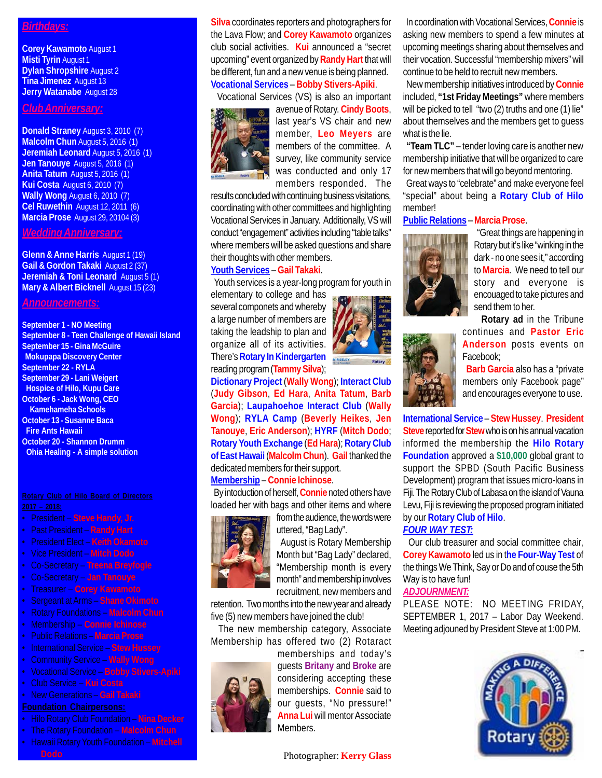# *Birthdays:*

**Corey Kawamoto** August 1 **Misti Tyrin** August 1 **Dylan Shropshire** August 2 **Tina Jimenez** August 13 **Jerry Watanabe** August 28

### *Club Anniversary:*

**Donald Straney** August 3, 2010 (7) **Malcolm Chun** August 5, 2016 (1) **Jeremiah Leonard** August 5, 2016 (1) **Jen Tanouye** August 5, 2016 (1) **Anita Tatum** August 5, 2016 (1) **Kui Costa** August 6, 2010 (7) **Wally Wong** August 6, 2010 (7) **Cel Ruwethin** August 12, 2011 (6) **Marcia Prose** August 29, 20104 (3)

*Wedding Anniversary:*

**Glenn & Anne Harris** August 1 (19) **Gail & Gordon Takaki** August 2 (37) **Jeremiah & Toni Leonard** August 5 (1) **Mary & Albert Bicknell** August 15 (23)

### *Announcements:*

#### **September 1 - NO Meeting**

**September 8 - Teen Challenge of Hawaii Island September 15 - Gina McGuire Mokupapa Discovery Center September 22 - RYLA September 29 - Lani Weigert Hospice of Hilo, Kupu Care October 6 - Jack Wong, CEO Kamehameha Schools October 13 - Susanne Baca Fire Ants Hawaii October 20 - Shannon Drumm Ohia Healing - A simple solution**

- President **Steve Handy, Jr.**
- Past President **Randy Hart**
- President Elect **Keith Okamoto**
- Vice President **Mitch Dodo**
- Co-Secretary **Treena Breyfogle**
- Co-Secretary **Jan Tanouye**
- Treasurer **Corey Kawamoto**
- 
- Rotary Foundations **Malcolm Chun**
- Membership **Connie Ichinose**
- Public Relations **Marcia Prose**
- International Service **Stew Hussey**
- Community Service **Wally Wong**
- Vocational Service **Bobby Stivers-Apiki**
- Club Service **Kui Costa**
- New Generations **Gail Takaki**

- Hilo Rotary Club Foundation **Nina Decker**
- The Rotary Foundation **Malcolm Chun**
- Hawaii Rotary Youth Foundation **Mitchell**

**Silva** coordinates reporters and photographers for the Lava Flow; and **Corey Kawamoto** organizes club social activities. **Kui** announced a "secret upcoming" event organized by **Randy Hart** that will be different, fun and a new venue is being planned. **Vocational Services** – **Bobby Stivers-Apiki**.

Vocational Services (VS) is also an important



avenue of Rotary. **Cindy Boots**, last year's VS chair and new member, **Leo Meyers** are members of the committee. A survey, like community service was conducted and only 17 members responded. The

results concluded with continuing business visitations, coordinating with other committees and highlighting Vocational Services in January. Additionally, VS will conduct "engagement" activities including "table talks" where members will be asked questions and share their thoughts with other members.

### **Youth Services** – **Gail Takaki**.

Youth services is a year-long program for youth in

elementary to college and has several componets and whereby a large number of members are taking the leadship to plan and organize all of its activities. There's **Rotary In Kindergarten** reading program (**Tammy Silva**);



**Dictionary Project** (**Wally Wong**); **Interact Club** (**Judy Gibson**, **Ed Hara**, **Anita Tatum**, **Barb Garcia**); **Laupahoehoe Interact Club** (**Wally Wong**); **RYLA Camp** (**Beverly Heikes**, **Jen Tanouye**, **Eric Anderson**); **HYRF** (**Mitch Dodo**; **Rotary Youth Exchange** (**Ed Hara**); **Rotary Club of East Hawaii** (**Malcolm Chun**). **Gail** thanked the dedicated members for their support. **Membership** – **Connie Ichinose**.

 By intoduction of herself, **Connie** noted others have loaded her with bags and other items and where



from the audience, the words were uttered, "Bag Lady".

 August is Rotary Membership Month but "Bag Lady" declared, "Membership month is every month" and membership involves recruitment, new members and

retention. Two months into the new year and already five (5) new members have joined the club!

 The new membership category, Associate Membership has offered two (2) Rotaract

> memberships and today's guests **Britany** and **Broke** are considering accepting these memberships. **Connie** said to our guests, "No pressure!" **Anna Lui** will mentor Associate Members.

 In coordination with Vocational Services, **Connie** is asking new members to spend a few minutes at upcoming meetings sharing about themselves and their vocation. Successful "membership mixers" will continue to be held to recruit new members.

 New membership initiatives introduced by **Connie** included, **"1st Friday Meetings"** where members will be picked to tell "two (2) truths and one (1) lie" about themselves and the members get to guess what is the lie.

 **"Team TLC"** – tender loving care is another new membership initiative that will be organized to care for new members that will go beyond mentoring.

 Great ways to "celebrate" and make everyone feel "special" about being a **Rotary Club of Hilo** member!

### **Public Relations** – **Marcia Prose**.



 "Great things are happening in Rotary but it's like "winking in the dark - no one sees it," according to **Marcia**. We need to tell our story and everyone is encouaged to take pictures and send them to her.

 **Rotary ad** in the Tribune continues and **Pastor Eric Anderson** posts events on Facebook;

 **Barb Garcia** also has a "private members only Facebook page" and encourages everyone to use.

**International Service** – **Stew Hussey**. **President Steve** reported for **Stew** who is on his annual vacation informed the membership the **Hilo Rotary Foundation** approved a **\$10,000** global grant to support the SPBD (South Pacific Business Development) program that issues micro-loans in Fiji. The Rotary Club of Labasa on the island of Vauna Levu, Fiji is reviewing the proposed program initiated by our **Rotary Club of Hilo**.

# *FOUR WAY TEST:*

 Our club treasurer and social committee chair, **Corey Kawamoto** led us in t**he Four-Way Test** of the things We Think, Say or Do and of couse the 5th Way is to have fun!

# *ADJOURNMENT:*

PLEASE NOTE: NO MEETING FRIDAY, SEPTEMBER 1, 2017 – Labor Day Weekend. Meeting adjouned by President Steve at 1:00 PM.